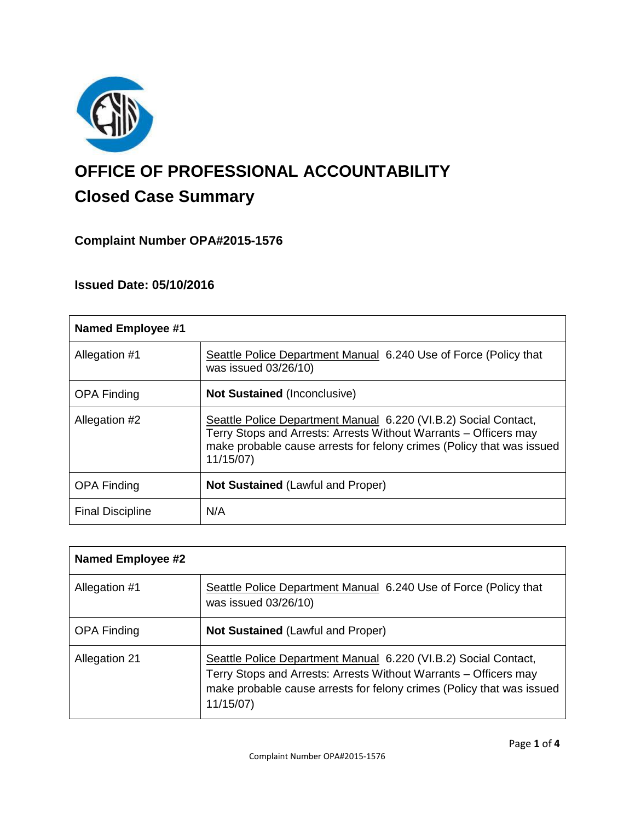

# **OFFICE OF PROFESSIONAL ACCOUNTABILITY Closed Case Summary**

# **Complaint Number OPA#2015-1576**

## **Issued Date: 05/10/2016**

| <b>Named Employee #1</b> |                                                                                                                                                                                                                          |
|--------------------------|--------------------------------------------------------------------------------------------------------------------------------------------------------------------------------------------------------------------------|
| Allegation #1            | Seattle Police Department Manual 6.240 Use of Force (Policy that<br>was issued 03/26/10)                                                                                                                                 |
| <b>OPA Finding</b>       | <b>Not Sustained (Inconclusive)</b>                                                                                                                                                                                      |
| Allegation #2            | Seattle Police Department Manual 6.220 (VI.B.2) Social Contact,<br>Terry Stops and Arrests: Arrests Without Warrants - Officers may<br>make probable cause arrests for felony crimes (Policy that was issued<br>11/15/07 |
| <b>OPA Finding</b>       | <b>Not Sustained (Lawful and Proper)</b>                                                                                                                                                                                 |
| <b>Final Discipline</b>  | N/A                                                                                                                                                                                                                      |

| <b>Named Employee #2</b> |                                                                                                                                                                                                                          |
|--------------------------|--------------------------------------------------------------------------------------------------------------------------------------------------------------------------------------------------------------------------|
| Allegation #1            | Seattle Police Department Manual 6.240 Use of Force (Policy that<br>was issued 03/26/10)                                                                                                                                 |
| <b>OPA Finding</b>       | <b>Not Sustained (Lawful and Proper)</b>                                                                                                                                                                                 |
| <b>Allegation 21</b>     | Seattle Police Department Manual 6.220 (VI.B.2) Social Contact,<br>Terry Stops and Arrests: Arrests Without Warrants – Officers may<br>make probable cause arrests for felony crimes (Policy that was issued<br>11/15/07 |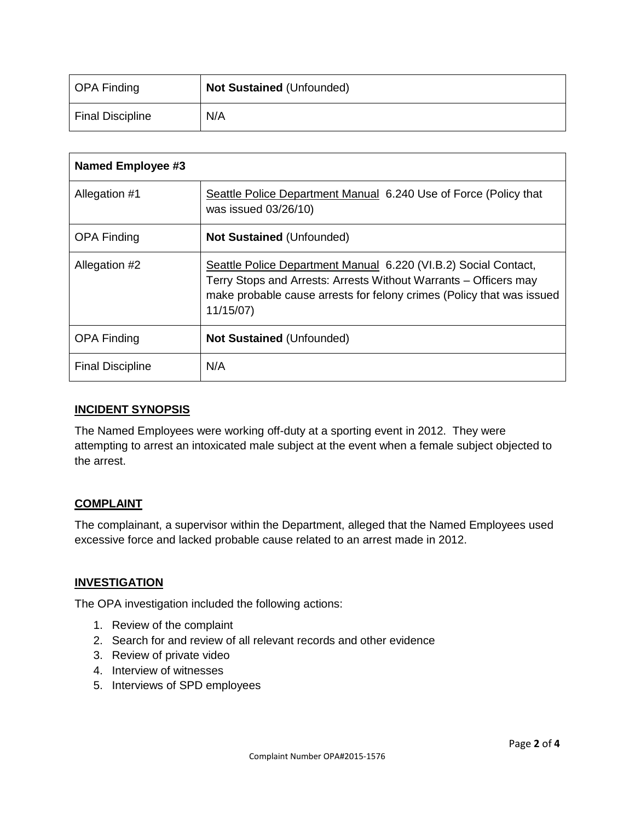| OPA Finding             | <b>Not Sustained (Unfounded)</b> |
|-------------------------|----------------------------------|
| <b>Final Discipline</b> | N/A                              |

| Named Employee #3       |                                                                                                                                                                                                                          |
|-------------------------|--------------------------------------------------------------------------------------------------------------------------------------------------------------------------------------------------------------------------|
| Allegation #1           | Seattle Police Department Manual 6.240 Use of Force (Policy that<br>was issued 03/26/10)                                                                                                                                 |
| <b>OPA Finding</b>      | <b>Not Sustained (Unfounded)</b>                                                                                                                                                                                         |
| Allegation #2           | Seattle Police Department Manual 6.220 (VI.B.2) Social Contact,<br>Terry Stops and Arrests: Arrests Without Warrants – Officers may<br>make probable cause arrests for felony crimes (Policy that was issued<br>11/15/07 |
| <b>OPA Finding</b>      | <b>Not Sustained (Unfounded)</b>                                                                                                                                                                                         |
| <b>Final Discipline</b> | N/A                                                                                                                                                                                                                      |

#### **INCIDENT SYNOPSIS**

The Named Employees were working off-duty at a sporting event in 2012. They were attempting to arrest an intoxicated male subject at the event when a female subject objected to the arrest.

## **COMPLAINT**

The complainant, a supervisor within the Department, alleged that the Named Employees used excessive force and lacked probable cause related to an arrest made in 2012.

#### **INVESTIGATION**

The OPA investigation included the following actions:

- 1. Review of the complaint
- 2. Search for and review of all relevant records and other evidence
- 3. Review of private video
- 4. Interview of witnesses
- 5. Interviews of SPD employees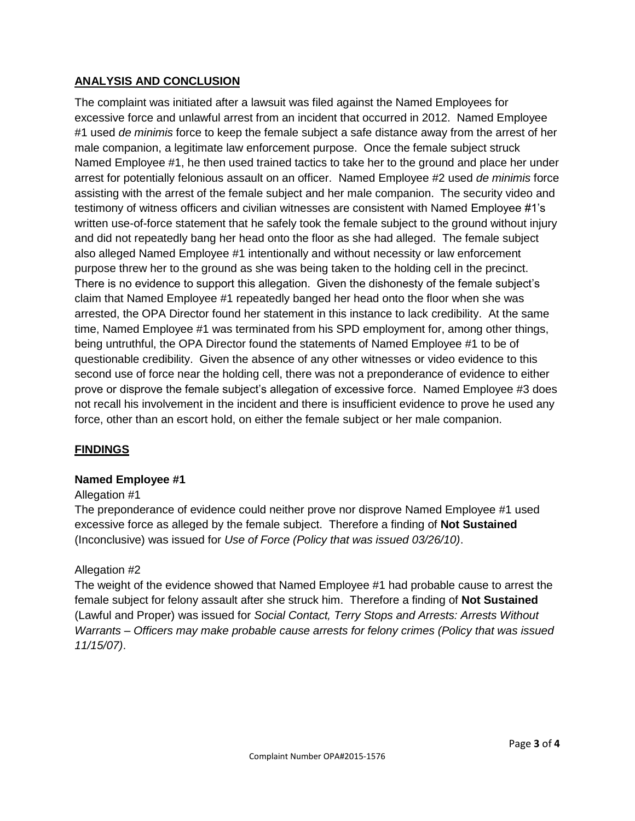## **ANALYSIS AND CONCLUSION**

The complaint was initiated after a lawsuit was filed against the Named Employees for excessive force and unlawful arrest from an incident that occurred in 2012. Named Employee #1 used *de minimis* force to keep the female subject a safe distance away from the arrest of her male companion, a legitimate law enforcement purpose. Once the female subject struck Named Employee #1, he then used trained tactics to take her to the ground and place her under arrest for potentially felonious assault on an officer. Named Employee #2 used *de minimis* force assisting with the arrest of the female subject and her male companion. The security video and testimony of witness officers and civilian witnesses are consistent with Named Employee #1's written use-of-force statement that he safely took the female subject to the ground without injury and did not repeatedly bang her head onto the floor as she had alleged. The female subject also alleged Named Employee #1 intentionally and without necessity or law enforcement purpose threw her to the ground as she was being taken to the holding cell in the precinct. There is no evidence to support this allegation. Given the dishonesty of the female subject's claim that Named Employee #1 repeatedly banged her head onto the floor when she was arrested, the OPA Director found her statement in this instance to lack credibility. At the same time, Named Employee #1 was terminated from his SPD employment for, among other things, being untruthful, the OPA Director found the statements of Named Employee #1 to be of questionable credibility. Given the absence of any other witnesses or video evidence to this second use of force near the holding cell, there was not a preponderance of evidence to either prove or disprove the female subject's allegation of excessive force. Named Employee #3 does not recall his involvement in the incident and there is insufficient evidence to prove he used any force, other than an escort hold, on either the female subject or her male companion.

## **FINDINGS**

#### **Named Employee #1**

#### Allegation #1

The preponderance of evidence could neither prove nor disprove Named Employee #1 used excessive force as alleged by the female subject. Therefore a finding of **Not Sustained** (Inconclusive) was issued for *Use of Force (Policy that was issued 03/26/10)*.

## Allegation #2

The weight of the evidence showed that Named Employee #1 had probable cause to arrest the female subject for felony assault after she struck him. Therefore a finding of **Not Sustained** (Lawful and Proper) was issued for *Social Contact, Terry Stops and Arrests: Arrests Without Warrants – Officers may make probable cause arrests for felony crimes (Policy that was issued 11/15/07)*.